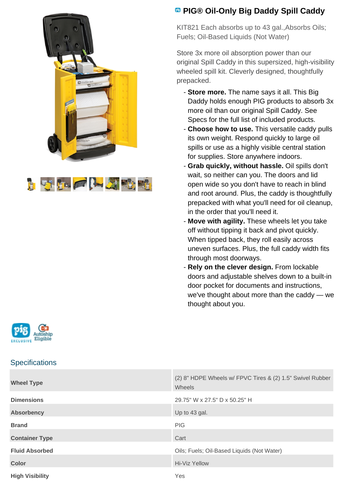



# **PIG® Oil-Only Big Daddy Spill Caddy**

KIT821 Each absorbs up to 43 gal.,Absorbs Oils; Fuels; Oil-Based Liquids (Not Water)

Store 3x more oil absorption power than our original Spill Caddy in this supersized, high-visibility wheeled spill kit. Cleverly designed, thoughtfully prepacked.

- **Store more.** The name says it all. This Big Daddy holds enough PIG products to absorb 3x more oil than our original Spill Caddy. See Specs for the full list of included products.
- **Choose how to use.** This versatile caddy pulls its own weight. Respond quickly to large oil spills or use as a highly visible central station for supplies. Store anywhere indoors.
- **Grab quickly, without hassle.** Oil spills don't wait, so neither can you. The doors and lid open wide so you don't have to reach in blind and root around. Plus, the caddy is thoughtfully prepacked with what you'll need for oil cleanup, in the order that you'll need it.
- **Move with agility.** These wheels let you take off without tipping it back and pivot quickly. When tipped back, they roll easily across uneven surfaces. Plus, the full caddy width fits through most doorways.
- **Rely on the clever design.** From lockable doors and adjustable shelves down to a built-in door pocket for documents and instructions, we've thought about more than the caddy — we thought about you.



### **Specifications**

| <b>Wheel Type</b>      | (2) 8" HDPE Wheels w/ FPVC Tires & (2) 1.5" Swivel Rubber<br>Wheels |
|------------------------|---------------------------------------------------------------------|
| <b>Dimensions</b>      | 29.75" W x 27.5" D x 50.25" H                                       |
| <b>Absorbency</b>      | Up to 43 gal.                                                       |
| <b>Brand</b>           | <b>PIG</b>                                                          |
| <b>Container Type</b>  | Cart                                                                |
| <b>Fluid Absorbed</b>  | Oils; Fuels; Oil-Based Liquids (Not Water)                          |
| <b>Color</b>           | Hi-Viz Yellow                                                       |
| <b>High Visibility</b> | Yes                                                                 |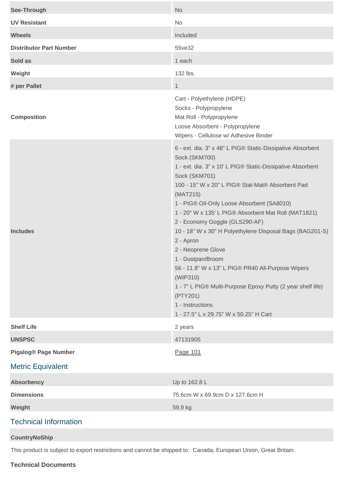| See-Through                    | <b>No</b>                                                                                                                                                                                                                                                                                                                                                                                                                                                                                                                                                                                                                                                                                        |
|--------------------------------|--------------------------------------------------------------------------------------------------------------------------------------------------------------------------------------------------------------------------------------------------------------------------------------------------------------------------------------------------------------------------------------------------------------------------------------------------------------------------------------------------------------------------------------------------------------------------------------------------------------------------------------------------------------------------------------------------|
| <b>UV Resistant</b>            | No                                                                                                                                                                                                                                                                                                                                                                                                                                                                                                                                                                                                                                                                                               |
| <b>Wheels</b>                  | Included                                                                                                                                                                                                                                                                                                                                                                                                                                                                                                                                                                                                                                                                                         |
| <b>Distributor Part Number</b> | 55ve32                                                                                                                                                                                                                                                                                                                                                                                                                                                                                                                                                                                                                                                                                           |
| Sold as                        | 1 each                                                                                                                                                                                                                                                                                                                                                                                                                                                                                                                                                                                                                                                                                           |
| Weight                         | 132 lbs.                                                                                                                                                                                                                                                                                                                                                                                                                                                                                                                                                                                                                                                                                         |
| # per Pallet                   | $\mathbf{1}$                                                                                                                                                                                                                                                                                                                                                                                                                                                                                                                                                                                                                                                                                     |
| <b>Composition</b>             | Cart - Polyethylene (HDPE)<br>Socks - Polypropylene<br>Mat Roll - Polypropylene<br>Loose Absorbent - Polypropylene<br>Wipers - Cellulose w/ Adhesive Binder                                                                                                                                                                                                                                                                                                                                                                                                                                                                                                                                      |
| <b>Includes</b>                | 6 - ext. dia. 3" x 48" L PIG® Static-Dissipative Absorbent<br>Sock (SKM700)<br>1 - ext. dia. 3" x 10' L PIG® Static-Dissipative Absorbent<br>Sock (SKM701)<br>100 - 15" W x 20" L PIG® Stat-Mat® Absorbent Pad<br>(MAT215)<br>1 - PIG® Oil-Only Loose Absorbent (SA8010)<br>1 - 20" W x 135' L PIG® Absorbent Mat Roll (MAT1821)<br>2 - Economy Goggle (GLS290-AF)<br>10 - 18" W x 30" H Polyethylene Disposal Bags (BAG201-S)<br>2 - Apron<br>2 - Neoprene Glove<br>1 - Dustpan/Broom<br>56 - 11.8" W x 13" L PIG® PR40 All-Purpose Wipers<br>(WIP310)<br>1 - 7" L PIG® Multi-Purpose Epoxy Putty (2 year shelf life)<br>(PTY201)<br>1 - Instructions<br>1 - 27.5" L x 29.75" W x 50.25" H Cart |
| <b>Shelf Life</b>              | 2 years                                                                                                                                                                                                                                                                                                                                                                                                                                                                                                                                                                                                                                                                                          |
| <b>UNSPSC</b>                  | 47131905                                                                                                                                                                                                                                                                                                                                                                                                                                                                                                                                                                                                                                                                                         |
| <b>Pigalog® Page Number</b>    | Page 101                                                                                                                                                                                                                                                                                                                                                                                                                                                                                                                                                                                                                                                                                         |
| <b>Metric Equivalent</b>       |                                                                                                                                                                                                                                                                                                                                                                                                                                                                                                                                                                                                                                                                                                  |
| <b>Absorbency</b>              | Up to 162.8 L                                                                                                                                                                                                                                                                                                                                                                                                                                                                                                                                                                                                                                                                                    |
| <b>Dimensions</b>              | 75.6cm W x 69.9cm D x 127.6cm H                                                                                                                                                                                                                                                                                                                                                                                                                                                                                                                                                                                                                                                                  |
| Weight                         | 59.9 kg                                                                                                                                                                                                                                                                                                                                                                                                                                                                                                                                                                                                                                                                                          |
| <b>Technical Information</b>   |                                                                                                                                                                                                                                                                                                                                                                                                                                                                                                                                                                                                                                                                                                  |

#### **CountryNoShip**

This product is subject to export restrictions and cannot be shipped to: Canada, European Union, Great Britain.

#### **Technical Documents**